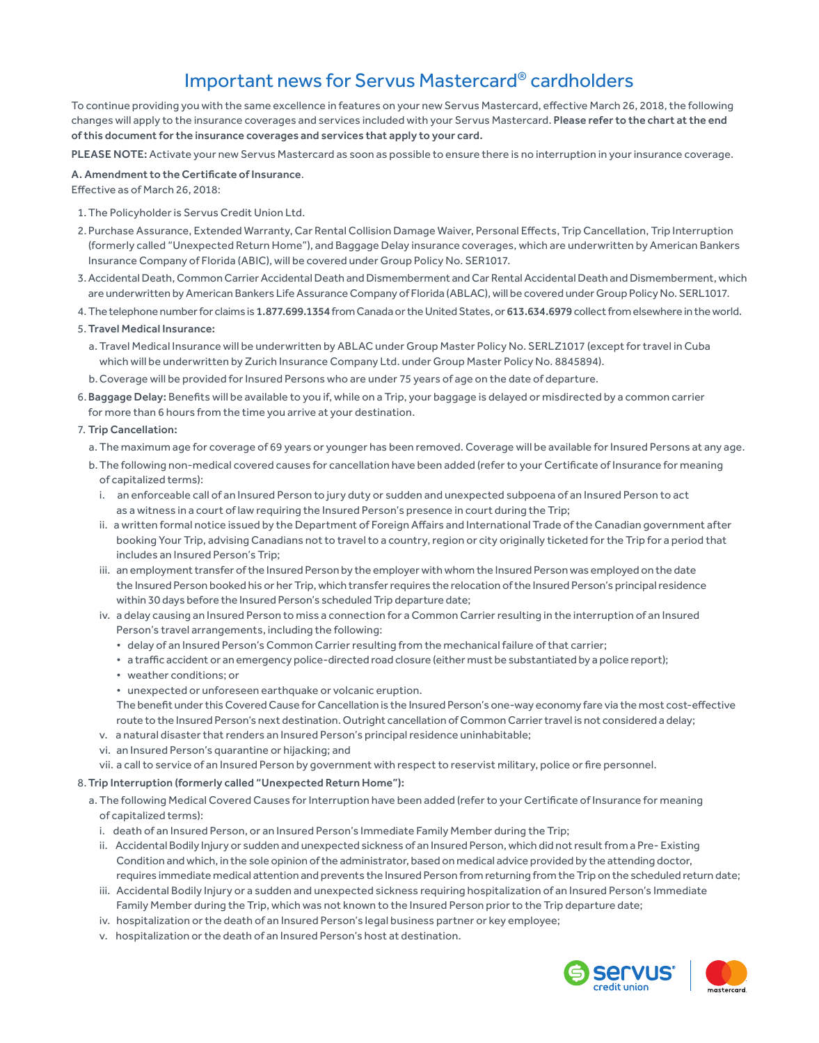## Important news for Servus Mastercard® cardholders

To continue providing you with the same excellence in features on your new Servus Mastercard, effective March 26, 2018, the following changes will apply to the insurance coverages and services included with your Servus Mastercard. Please refer to the chart at the end of this document for the insurance coverages and services that apply to your card.

PLEASE NOTE: Activate your new Servus Mastercard as soon as possible to ensure there is no interruption in your insurance coverage.

## A. Amendment to the Certificate of Insurance.

Effective as of March 26, 2018:

- 1.The Policyholder is Servus Credit Union Ltd.
- 2.Purchase Assurance, Extended Warranty, Car Rental Collision Damage Waiver, Personal Effects, Trip Cancellation, Trip Interruption (formerly called "Unexpected Return Home"), and Baggage Delay insurance coverages, which are underwritten by American Bankers Insurance Company of Florida (ABIC), will be covered under Group Policy No. SER1017.
- 3.Accidental Death, Common Carrier Accidental Death and Dismemberment and Car Rental Accidental Death and Dismemberment, which are underwritten by American Bankers Life Assurance Company of Florida (ABLAC), will be covered under Group Policy No. SERL1017.
- 4.The telephone number for claims is 1.877.699.1354 from Canada or the United States, or 613.634.6979 collect from elsewhere in the world.
- 5.Travel Medical Insurance:
	- a. Travel Medical Insurance will be underwritten by ABLAC under Group Master Policy No. SERLZ1017 (except for travel in Cuba which will be underwritten by Zurich Insurance Company Ltd. under Group Master Policy No. 8845894).
	- b.Coverage will be provided for Insured Persons who are under 75 years of age on the date of departure.
- 6.Baggage Delay: Benefits will be available to you if, while on a Trip, your baggage is delayed or misdirected by a common carrier for more than 6 hours from the time you arrive at your destination.
- 7. Trip Cancellation:
	- a. The maximum age for coverage of 69 years or younger has been removed. Coverage will be available for Insured Persons at any age.
	- b.The following non-medical covered causes for cancellation have been added (refer to your Certificate of Insurance for meaning of capitalized terms):
		- i. an enforceable call of an Insured Person to jury duty or sudden and unexpected subpoena of an Insured Person to act as a witness in a court of law requiring the Insured Person's presence in court during the Trip;
		- ii. a written formal notice issued by the Department of Foreign Affairs and International Trade of the Canadian government after booking Your Trip, advising Canadians not to travel to a country, region or city originally ticketed for the Trip for a period that includes an Insured Person's Trip;
		- iii. an employment transfer of the Insured Person by the employer with whom the Insured Person was employed on the date the Insured Person booked his or her Trip, which transfer requires the relocation of the Insured Person's principal residence within 30 days before the Insured Person's scheduled Trip departure date;
		- iv. a delay causing an Insured Person to miss a connection for a Common Carrier resulting in the interruption of an Insured Person's travel arrangements, including the following:
			- delay of an Insured Person's Common Carrier resulting from the mechanical failure of that carrier;
			- a traffic accident or an emergency police-directed road closure (either must be substantiated by a police report);
			- weather conditions; or
			- unexpected or unforeseen earthquake or volcanic eruption.
			- The benefit under this Covered Cause for Cancellation is the Insured Person's one-way economy fare via the most cost-effective route to the Insured Person's next destination. Outright cancellation of Common Carrier travel is not considered a delay;
		- v. a natural disaster that renders an Insured Person's principal residence uninhabitable;
		- vi. an Insured Person's quarantine or hijacking; and
		- vii. a call to service of an Insured Person by government with respect to reservist military, police or fire personnel.

## 8. Trip Interruption (formerly called "Unexpected Return Home"):

- a. The following Medical Covered Causes for Interruption have been added (refer to your Certificate of Insurance for meaning of capitalized terms):
	- i. death of an Insured Person, or an Insured Person's Immediate Family Member during the Trip;
	- ii. Accidental Bodily Injury or sudden and unexpected sickness of an Insured Person, which did not result from a Pre- Existing Condition and which, in the sole opinion of the administrator, based on medical advice provided by the attending doctor, requires immediate medical attention and prevents the Insured Person from returning from the Trip on the scheduled return date;
	- iii. Accidental Bodily Injury or a sudden and unexpected sickness requiring hospitalization of an Insured Person's Immediate Family Member during the Trip, which was not known to the Insured Person prior to the Trip departure date;
	- iv. hospitalization or the death of an Insured Person's legal business partner or key employee;
	- v. hospitalization or the death of an Insured Person's host at destination.